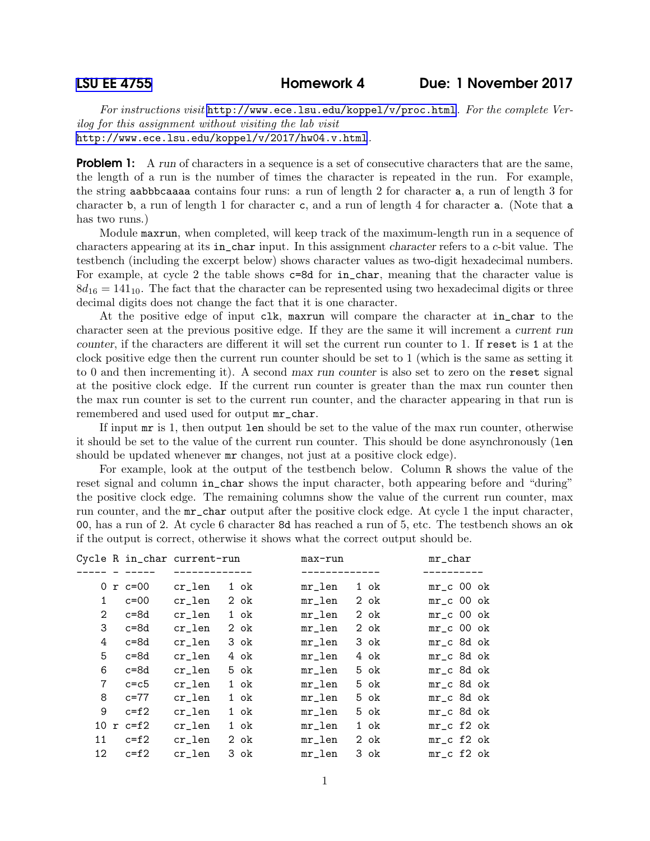For instructions visit <http://www.ece.lsu.edu/koppel/v/proc.html>. For the complete Verilog for this assignment without visiting the lab visit <http://www.ece.lsu.edu/koppel/v/2017/hw04.v.html>.

**Problem 1:** A run of characters in a sequence is a set of consecutive characters that are the same, the length of a run is the number of times the character is repeated in the run. For example, the string aabbbcaaaa contains four runs: a run of length 2 for character a, a run of length 3 for character b, a run of length 1 for character c, and a run of length 4 for character a. (Note that a has two runs.)

Module maxrun, when completed, will keep track of the maximum-length run in a sequence of characters appearing at its in\_char input. In this assignment character refers to a c-bit value. The testbench (including the excerpt below) shows character values as two-digit hexadecimal numbers. For example, at cycle 2 the table shows  $c=8d$  for in\_char, meaning that the character value is  $8d_{16} = 141_{10}$ . The fact that the character can be represented using two hexadecimal digits or three decimal digits does not change the fact that it is one character.

At the positive edge of input clk, maxrun will compare the character at in\_char to the character seen at the previous positive edge. If they are the same it will increment a current run counter, if the characters are different it will set the current run counter to 1. If reset is 1 at the clock positive edge then the current run counter should be set to 1 (which is the same as setting it to 0 and then incrementing it). A second max run counter is also set to zero on the reset signal at the positive clock edge. If the current run counter is greater than the max run counter then the max run counter is set to the current run counter, and the character appearing in that run is remembered and used used for output  $mr\_char$ .

If input mr is 1, then output len should be set to the value of the max run counter, otherwise it should be set to the value of the current run counter. This should be done asynchronously (len should be updated whenever mr changes, not just at a positive clock edge).

For example, look at the output of the testbench below. Column R shows the value of the reset signal and column in\_char shows the input character, both appearing before and "during" the positive clock edge. The remaining columns show the value of the current run counter, max run counter, and the mr\_char output after the positive clock edge. At cycle 1 the input character, 00, has a run of 2. At cycle 6 character 8d has reached a run of 5, etc. The testbench shows an ok if the output is correct, otherwise it shows what the correct output should be.

| 1 ok<br>$mr_{c}$ 00 ok<br>$0r$ c=00<br>1 ok<br>cr_len<br>$mr\_len$<br>$c = 00$<br>2 ok<br>$mr_{c}$ 00 ok<br>$cr\_len$<br>2 ok<br>$\mathbf{1}$<br>$mr\_len$<br>$\overline{2}$<br>$c = 8d$<br>1 ok<br>$mr_{c}$ 00 ok<br>$cr\_len$<br>$mr\_len$<br>2 ok<br>3<br>$c = 8d$<br>$mr_{c}$ 00 ok<br>2 ok<br>2 ok<br>$cr\_len$<br>mr_len<br>4<br>$c = 8d$<br>3 ok<br>mr_c 8d ok<br>$cr\_len$<br>$mr\_len$<br>3 ok<br>5<br>c=8d<br>mr_c 8d ok<br>$cr\_len$<br>4 ok<br>mr_len<br>4 ok<br>6<br>c=8d<br>5 ok<br>mr_c 8d ok<br>$cr\_len$<br>$mr\_len$<br>5 ok<br>$\mathbf{7}$<br>mr_c 8d ok<br>$c = c5$<br>$cr\_len$<br>1 ok<br>5 ok<br>$mr\_len$<br>8<br>$c=77$<br>1 ok<br>mr_c 8d ok<br>$cr\_len$<br>5 ok<br>$mr\_len$<br>9<br>$c = f2$<br>1 ok<br>mr_c 8d ok<br>$cr$ $l$ en<br>$mr\_len$<br>5 ok<br>$10 r c=f2$<br>1 ok<br>1 ok<br>$mr_c$ f2 ok<br>$cr\_len$<br>mr_len<br>11<br>$c = f2$<br>mr_c f2 ok<br>$cr$ $l$ en<br>2 ok<br>2 ok<br>$mr\_len$<br>12<br>$c = f2$<br>3 ok<br>3 ok<br>$cr\_len$<br>$mr\_len$<br>$mr_c$ f2 ok |  | Cycle R in_char current-run |  |  | max-run |  |  | $mr\_char$ |  |  |  |
|--------------------------------------------------------------------------------------------------------------------------------------------------------------------------------------------------------------------------------------------------------------------------------------------------------------------------------------------------------------------------------------------------------------------------------------------------------------------------------------------------------------------------------------------------------------------------------------------------------------------------------------------------------------------------------------------------------------------------------------------------------------------------------------------------------------------------------------------------------------------------------------------------------------------------------------------------------------------------------------------------------------------|--|-----------------------------|--|--|---------|--|--|------------|--|--|--|
|                                                                                                                                                                                                                                                                                                                                                                                                                                                                                                                                                                                                                                                                                                                                                                                                                                                                                                                                                                                                                    |  |                             |  |  |         |  |  |            |  |  |  |
|                                                                                                                                                                                                                                                                                                                                                                                                                                                                                                                                                                                                                                                                                                                                                                                                                                                                                                                                                                                                                    |  |                             |  |  |         |  |  |            |  |  |  |
|                                                                                                                                                                                                                                                                                                                                                                                                                                                                                                                                                                                                                                                                                                                                                                                                                                                                                                                                                                                                                    |  |                             |  |  |         |  |  |            |  |  |  |
|                                                                                                                                                                                                                                                                                                                                                                                                                                                                                                                                                                                                                                                                                                                                                                                                                                                                                                                                                                                                                    |  |                             |  |  |         |  |  |            |  |  |  |
|                                                                                                                                                                                                                                                                                                                                                                                                                                                                                                                                                                                                                                                                                                                                                                                                                                                                                                                                                                                                                    |  |                             |  |  |         |  |  |            |  |  |  |
|                                                                                                                                                                                                                                                                                                                                                                                                                                                                                                                                                                                                                                                                                                                                                                                                                                                                                                                                                                                                                    |  |                             |  |  |         |  |  |            |  |  |  |
|                                                                                                                                                                                                                                                                                                                                                                                                                                                                                                                                                                                                                                                                                                                                                                                                                                                                                                                                                                                                                    |  |                             |  |  |         |  |  |            |  |  |  |
|                                                                                                                                                                                                                                                                                                                                                                                                                                                                                                                                                                                                                                                                                                                                                                                                                                                                                                                                                                                                                    |  |                             |  |  |         |  |  |            |  |  |  |
|                                                                                                                                                                                                                                                                                                                                                                                                                                                                                                                                                                                                                                                                                                                                                                                                                                                                                                                                                                                                                    |  |                             |  |  |         |  |  |            |  |  |  |
|                                                                                                                                                                                                                                                                                                                                                                                                                                                                                                                                                                                                                                                                                                                                                                                                                                                                                                                                                                                                                    |  |                             |  |  |         |  |  |            |  |  |  |
|                                                                                                                                                                                                                                                                                                                                                                                                                                                                                                                                                                                                                                                                                                                                                                                                                                                                                                                                                                                                                    |  |                             |  |  |         |  |  |            |  |  |  |
|                                                                                                                                                                                                                                                                                                                                                                                                                                                                                                                                                                                                                                                                                                                                                                                                                                                                                                                                                                                                                    |  |                             |  |  |         |  |  |            |  |  |  |
|                                                                                                                                                                                                                                                                                                                                                                                                                                                                                                                                                                                                                                                                                                                                                                                                                                                                                                                                                                                                                    |  |                             |  |  |         |  |  |            |  |  |  |
|                                                                                                                                                                                                                                                                                                                                                                                                                                                                                                                                                                                                                                                                                                                                                                                                                                                                                                                                                                                                                    |  |                             |  |  |         |  |  |            |  |  |  |